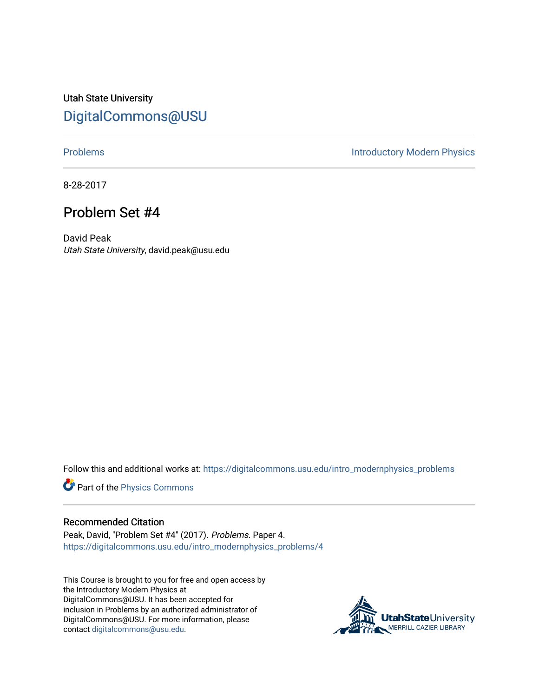Utah State University [DigitalCommons@USU](https://digitalcommons.usu.edu/)

[Problems](https://digitalcommons.usu.edu/intro_modernphysics_problems) **Introductory Modern Physics** 

8-28-2017

## Problem Set #4

David Peak Utah State University, david.peak@usu.edu

Follow this and additional works at: [https://digitalcommons.usu.edu/intro\\_modernphysics\\_problems](https://digitalcommons.usu.edu/intro_modernphysics_problems?utm_source=digitalcommons.usu.edu%2Fintro_modernphysics_problems%2F4&utm_medium=PDF&utm_campaign=PDFCoverPages) 

Part of the [Physics Commons](http://network.bepress.com/hgg/discipline/193?utm_source=digitalcommons.usu.edu%2Fintro_modernphysics_problems%2F4&utm_medium=PDF&utm_campaign=PDFCoverPages)

## Recommended Citation

Peak, David, "Problem Set #4" (2017). Problems. Paper 4. [https://digitalcommons.usu.edu/intro\\_modernphysics\\_problems/4](https://digitalcommons.usu.edu/intro_modernphysics_problems/4?utm_source=digitalcommons.usu.edu%2Fintro_modernphysics_problems%2F4&utm_medium=PDF&utm_campaign=PDFCoverPages)

This Course is brought to you for free and open access by the Introductory Modern Physics at DigitalCommons@USU. It has been accepted for inclusion in Problems by an authorized administrator of DigitalCommons@USU. For more information, please contact [digitalcommons@usu.edu](mailto:digitalcommons@usu.edu).